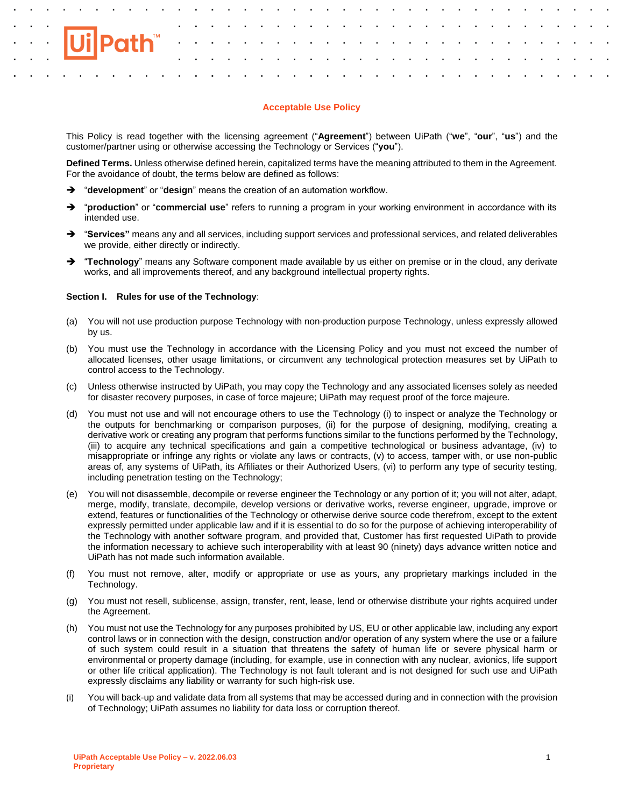# **Acceptable Use Policy**

This Policy is read together with the licensing agreement ("**Agreement**") between UiPath ("**we**", "**our**", "**us**") and the customer/partner using or otherwise accessing the Technology or Services ("**you**").

**Defined Terms.** Unless otherwise defined herein, capitalized terms have the meaning attributed to them in the Agreement. For the avoidance of doubt, the terms below are defined as follows:

- ➔ "**development**" or "**design**" means the creation of an automation workflow.
- ➔ "**production**" or "**commercial use**" refers to running a program in your working environment in accordance with its intended use.
- ➔ "**Services"** means any and all services, including support services and professional services, and related deliverables we provide, either directly or indirectly.
- ➔ "**Technology**" means any Software component made available by us either on premise or in the cloud, any derivate works, and all improvements thereof, and any background intellectual property rights.

# **Section I. Rules for use of the Technology**:

- (a) You will not use production purpose Technology with non-production purpose Technology, unless expressly allowed by us.
- (b) You must use the Technology in accordance with the Licensing Policy and you must not exceed the number of allocated licenses, other usage limitations, or circumvent any technological protection measures set by UiPath to control access to the Technology.
- (c) Unless otherwise instructed by UiPath, you may copy the Technology and any associated licenses solely as needed for disaster recovery purposes, in case of force majeure; UiPath may request proof of the force majeure.
- (d) You must not use and will not encourage others to use the Technology (i) to inspect or analyze the Technology or the outputs for benchmarking or comparison purposes, (ii) for the purpose of designing, modifying, creating a derivative work or creating any program that performs functions similar to the functions performed by the Technology, (iii) to acquire any technical specifications and gain a competitive technological or business advantage, (iv) to misappropriate or infringe any rights or violate any laws or contracts, (v) to access, tamper with, or use non-public areas of, any systems of UiPath, its Affiliates or their Authorized Users, (vi) to perform any type of security testing, including penetration testing on the Technology;
- (e) You will not disassemble, decompile or reverse engineer the Technology or any portion of it; you will not alter, adapt, merge, modify, translate, decompile, develop versions or derivative works, reverse engineer, upgrade, improve or extend, features or functionalities of the Technology or otherwise derive source code therefrom, except to the extent expressly permitted under applicable law and if it is essential to do so for the purpose of achieving interoperability of the Technology with another software program, and provided that, Customer has first requested UiPath to provide the information necessary to achieve such interoperability with at least 90 (ninety) days advance written notice and UiPath has not made such information available.
- (f) You must not remove, alter, modify or appropriate or use as yours, any proprietary markings included in the Technology.
- (g) You must not resell, sublicense, assign, transfer, rent, lease, lend or otherwise distribute your rights acquired under the Agreement.
- (h) You must not use the Technology for any purposes prohibited by US, EU or other applicable law, including any export control laws or in connection with the design, construction and/or operation of any system where the use or a failure of such system could result in a situation that threatens the safety of human life or severe physical harm or environmental or property damage (including, for example, use in connection with any nuclear, avionics, life support or other life critical application). The Technology is not fault tolerant and is not designed for such use and UiPath expressly disclaims any liability or warranty for such high-risk use.
- (i) You will back-up and validate data from all systems that may be accessed during and in connection with the provision of Technology; UiPath assumes no liability for data loss or corruption thereof.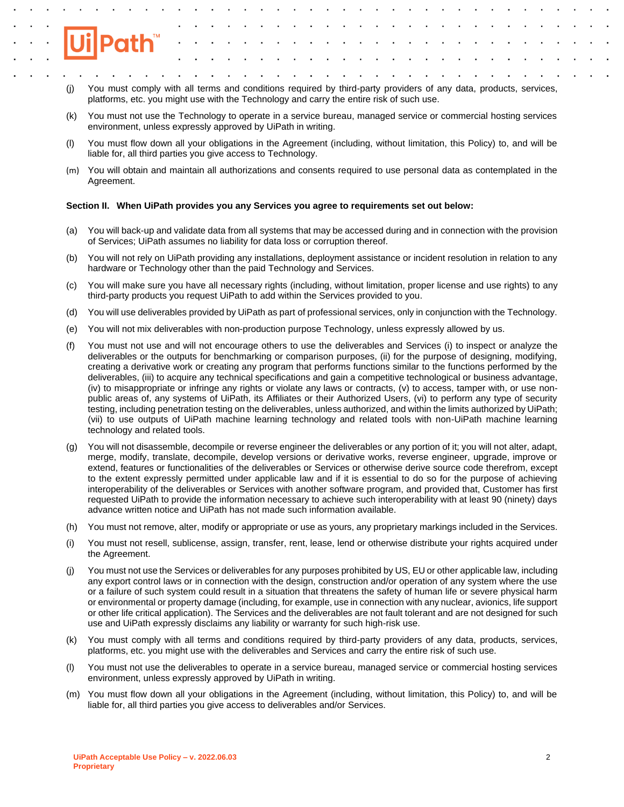- (j) You must comply with all terms and conditions required by third-party providers of any data, products, services, platforms, etc. you might use with the Technology and carry the entire risk of such use.
- (k) You must not use the Technology to operate in a service bureau, managed service or commercial hosting services environment, unless expressly approved by UiPath in writing.
- (l) You must flow down all your obligations in the Agreement (including, without limitation, this Policy) to, and will be liable for, all third parties you give access to Technology.
- (m) You will obtain and maintain all authorizations and consents required to use personal data as contemplated in the Agreement.

## **Section II. When UiPath provides you any Services you agree to requirements set out below:**

- (a) You will back-up and validate data from all systems that may be accessed during and in connection with the provision of Services; UiPath assumes no liability for data loss or corruption thereof.
- (b) You will not rely on UiPath providing any installations, deployment assistance or incident resolution in relation to any hardware or Technology other than the paid Technology and Services.
- (c) You will make sure you have all necessary rights (including, without limitation, proper license and use rights) to any third-party products you request UiPath to add within the Services provided to you.
- (d) You will use deliverables provided by UiPath as part of professional services, only in conjunction with the Technology.
- (e) You will not mix deliverables with non-production purpose Technology, unless expressly allowed by us.
- (f) You must not use and will not encourage others to use the deliverables and Services (i) to inspect or analyze the deliverables or the outputs for benchmarking or comparison purposes, (ii) for the purpose of designing, modifying, creating a derivative work or creating any program that performs functions similar to the functions performed by the deliverables, (iii) to acquire any technical specifications and gain a competitive technological or business advantage, (iv) to misappropriate or infringe any rights or violate any laws or contracts, (v) to access, tamper with, or use nonpublic areas of, any systems of UiPath, its Affiliates or their Authorized Users, (vi) to perform any type of security testing, including penetration testing on the deliverables, unless authorized, and within the limits authorized by UiPath; (vii) to use outputs of UiPath machine learning technology and related tools with non-UiPath machine learning technology and related tools.
- (g) You will not disassemble, decompile or reverse engineer the deliverables or any portion of it; you will not alter, adapt, merge, modify, translate, decompile, develop versions or derivative works, reverse engineer, upgrade, improve or extend, features or functionalities of the deliverables or Services or otherwise derive source code therefrom, except to the extent expressly permitted under applicable law and if it is essential to do so for the purpose of achieving interoperability of the deliverables or Services with another software program, and provided that, Customer has first requested UiPath to provide the information necessary to achieve such interoperability with at least 90 (ninety) days advance written notice and UiPath has not made such information available.
- (h) You must not remove, alter, modify or appropriate or use as yours, any proprietary markings included in the Services.
- (i) You must not resell, sublicense, assign, transfer, rent, lease, lend or otherwise distribute your rights acquired under the Agreement.
- (j) You must not use the Services or deliverables for any purposes prohibited by US, EU or other applicable law, including any export control laws or in connection with the design, construction and/or operation of any system where the use or a failure of such system could result in a situation that threatens the safety of human life or severe physical harm or environmental or property damage (including, for example, use in connection with any nuclear, avionics, life support or other life critical application). The Services and the deliverables are not fault tolerant and are not designed for such use and UiPath expressly disclaims any liability or warranty for such high-risk use.
- (k) You must comply with all terms and conditions required by third-party providers of any data, products, services, platforms, etc. you might use with the deliverables and Services and carry the entire risk of such use.
- (l) You must not use the deliverables to operate in a service bureau, managed service or commercial hosting services environment, unless expressly approved by UiPath in writing.
- (m) You must flow down all your obligations in the Agreement (including, without limitation, this Policy) to, and will be liable for, all third parties you give access to deliverables and/or Services.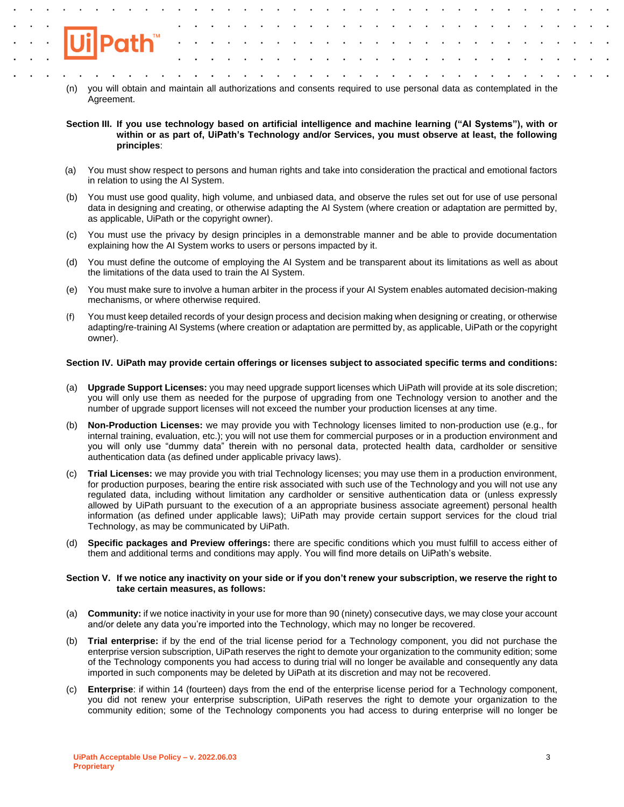- (n) you will obtain and maintain all authorizations and consents required to use personal data as contemplated in the Agreement.
- **Section III. If you use technology based on artificial intelligence and machine learning ("AI Systems"), with or within or as part of, UiPath's Technology and/or Services, you must observe at least, the following principles**:
- (a) You must show respect to persons and human rights and take into consideration the practical and emotional factors in relation to using the AI System.
- (b) You must use good quality, high volume, and unbiased data, and observe the rules set out for use of use personal data in designing and creating, or otherwise adapting the AI System (where creation or adaptation are permitted by, as applicable, UiPath or the copyright owner).
- (c) You must use the privacy by design principles in a demonstrable manner and be able to provide documentation explaining how the AI System works to users or persons impacted by it.
- (d) You must define the outcome of employing the AI System and be transparent about its limitations as well as about the limitations of the data used to train the AI System.
- (e) You must make sure to involve a human arbiter in the process if your AI System enables automated decision-making mechanisms, or where otherwise required.
- (f) You must keep detailed records of your design process and decision making when designing or creating, or otherwise adapting/re-training AI Systems (where creation or adaptation are permitted by, as applicable, UiPath or the copyright owner).

## **Section IV. UiPath may provide certain offerings or licenses subject to associated specific terms and conditions:**

- (a) **Upgrade Support Licenses:** you may need upgrade support licenses which UiPath will provide at its sole discretion; you will only use them as needed for the purpose of upgrading from one Technology version to another and the number of upgrade support licenses will not exceed the number your production licenses at any time.
- (b) **Non-Production Licenses:** we may provide you with Technology licenses limited to non-production use (e.g., for internal training, evaluation, etc.); you will not use them for commercial purposes or in a production environment and you will only use "dummy data" therein with no personal data, protected health data, cardholder or sensitive authentication data (as defined under applicable privacy laws).
- (c) **Trial Licenses:** we may provide you with trial Technology licenses; you may use them in a production environment, for production purposes, bearing the entire risk associated with such use of the Technology and you will not use any regulated data, including without limitation any cardholder or sensitive authentication data or (unless expressly allowed by UiPath pursuant to the execution of a an appropriate business associate agreement) personal health information (as defined under applicable laws); UiPath may provide certain support services for the cloud trial Technology, as may be communicated by UiPath.
- (d) **Specific packages and Preview offerings:** there are specific conditions which you must fulfill to access either of them and additional terms and conditions may apply. You will find more details on UiPath's website.

### **Section V. If we notice any inactivity on your side or if you don't renew your subscription, we reserve the right to take certain measures, as follows:**

- (a) **Community:** if we notice inactivity in your use for more than 90 (ninety) consecutive days, we may close your account and/or delete any data you're imported into the Technology, which may no longer be recovered.
- (b) **Trial enterprise:** if by the end of the trial license period for a Technology component, you did not purchase the enterprise version subscription, UiPath reserves the right to demote your organization to the community edition; some of the Technology components you had access to during trial will no longer be available and consequently any data imported in such components may be deleted by UiPath at its discretion and may not be recovered.
- (c) **Enterprise**: if within 14 (fourteen) days from the end of the enterprise license period for a Technology component, you did not renew your enterprise subscription, UiPath reserves the right to demote your organization to the community edition; some of the Technology components you had access to during enterprise will no longer be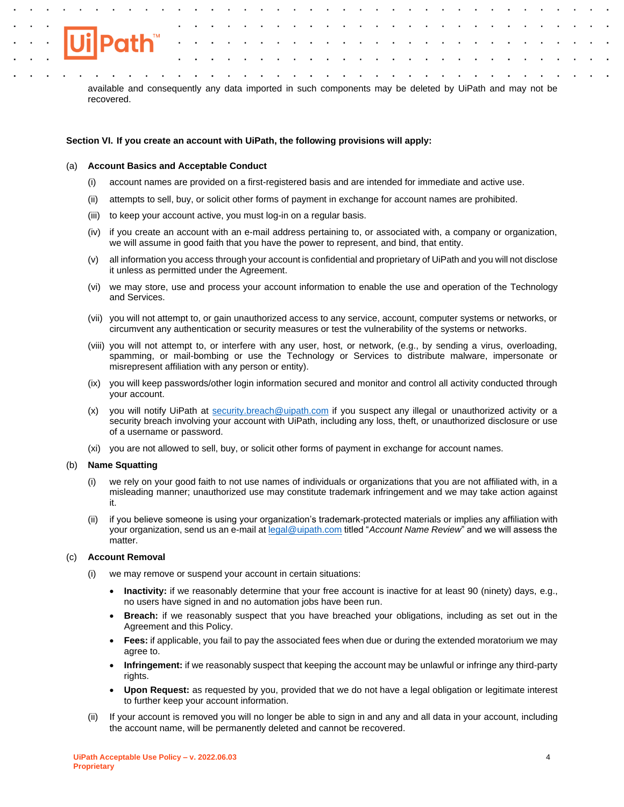

available and consequently any data imported in such components may be deleted by UiPath and may not be recovered.

## **Section VI. If you create an account with UiPath, the following provisions will apply:**

### (a) **Account Basics and Acceptable Conduct**

- (i) account names are provided on a first-registered basis and are intended for immediate and active use.
- (ii) attempts to sell, buy, or solicit other forms of payment in exchange for account names are prohibited.
- (iii) to keep your account active, you must log-in on a regular basis.
- (iv) if you create an account with an e-mail address pertaining to, or associated with, a company or organization, we will assume in good faith that you have the power to represent, and bind, that entity.
- (v) all information you access through your account is confidential and proprietary of UiPath and you will not disclose it unless as permitted under the Agreement.
- (vi) we may store, use and process your account information to enable the use and operation of the Technology and Services.
- (vii) you will not attempt to, or gain unauthorized access to any service, account, computer systems or networks, or circumvent any authentication or security measures or test the vulnerability of the systems or networks.
- (viii) you will not attempt to, or interfere with any user, host, or network, (e.g., by sending a virus, overloading, spamming, or mail-bombing or use the Technology or Services to distribute malware, impersonate or misrepresent affiliation with any person or entity).
- (ix) you will keep passwords/other login information secured and monitor and control all activity conducted through your account.
- (x) you will notify UiPath at [security.breach@uipath.com](mailto:security.breach@uipath.com) if you suspect any illegal or unauthorized activity or a security breach involving your account with UiPath, including any loss, theft, or unauthorized disclosure or use of a username or password.
- (xi) you are not allowed to sell, buy, or solicit other forms of payment in exchange for account names.

### (b) **Name Squatting**

- (i) we rely on your good faith to not use names of individuals or organizations that you are not affiliated with, in a misleading manner; unauthorized use may constitute trademark infringement and we may take action against it.
- (ii) if you believe someone is using your organization's trademark-protected materials or implies any affiliation with your organization, send us an e-mail a[t legal@uipath.com](mailto:legal.ip@uipath.com) titled "*Account Name Review*" and we will assess the matter.

# (c) **Account Removal**

- (i) we may remove or suspend your account in certain situations:
	- **Inactivity:** if we reasonably determine that your free account is inactive for at least 90 (ninety) days, e.g., no users have signed in and no automation jobs have been run.
	- **Breach:** if we reasonably suspect that you have breached your obligations, including as set out in the Agreement and this Policy.
	- **Fees:** if applicable, you fail to pay the associated fees when due or during the extended moratorium we may agree to.
	- **Infringement:** if we reasonably suspect that keeping the account may be unlawful or infringe any third-party rights.
	- **Upon Request:** as requested by you, provided that we do not have a legal obligation or legitimate interest to further keep your account information.
- (ii) If your account is removed you will no longer be able to sign in and any and all data in your account, including the account name, will be permanently deleted and cannot be recovered.